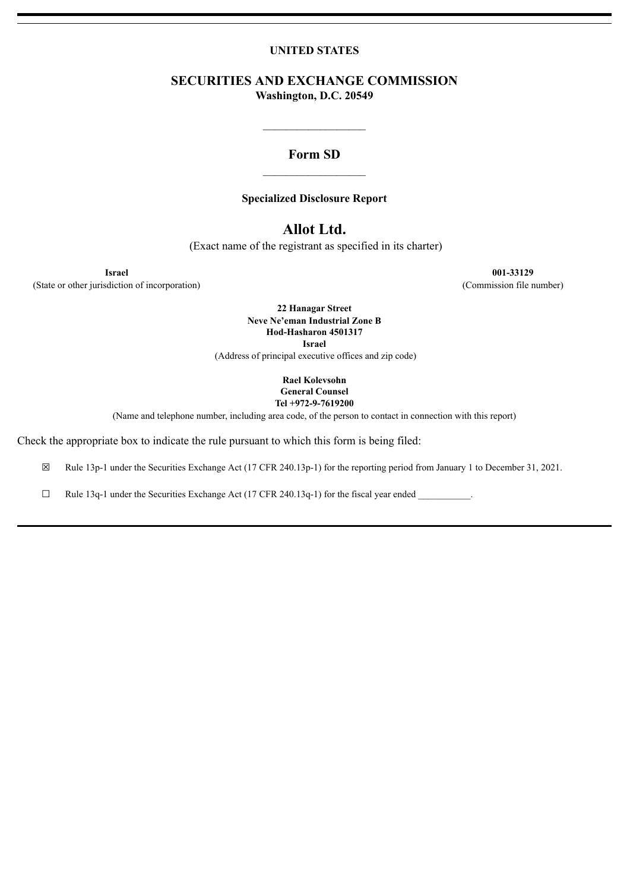#### **UNITED STATES**

**SECURITIES AND EXCHANGE COMMISSION Washington, D.C. 20549**

# **Form SD**  $\overline{\phantom{a}}$  , where  $\overline{\phantom{a}}$

 $\mathcal{L}_\text{max}$  and  $\mathcal{L}_\text{max}$  and  $\mathcal{L}_\text{max}$ 

#### **Specialized Disclosure Report**

# **Allot Ltd.**

(Exact name of the registrant as specified in its charter)

**Israel**

(State or other jurisdiction of incorporation)

**001-33129** (Commission file number)

**22 Hanagar Street Neve Ne'eman Industrial Zone B Hod-Hasharon 4501317 Israel** (Address of principal executive offices and zip code)

> **Rael Kolevsohn General Counsel Tel +972-9-7619200**

(Name and telephone number, including area code, of the person to contact in connection with this report)

Check the appropriate box to indicate the rule pursuant to which this form is being filed:

☒ Rule 13p-1 under the Securities Exchange Act (17 CFR 240.13p-1) for the reporting period from January 1 to December 31, 2021.

 $\Box$  Rule 13q-1 under the Securities Exchange Act (17 CFR 240.13q-1) for the fiscal year ended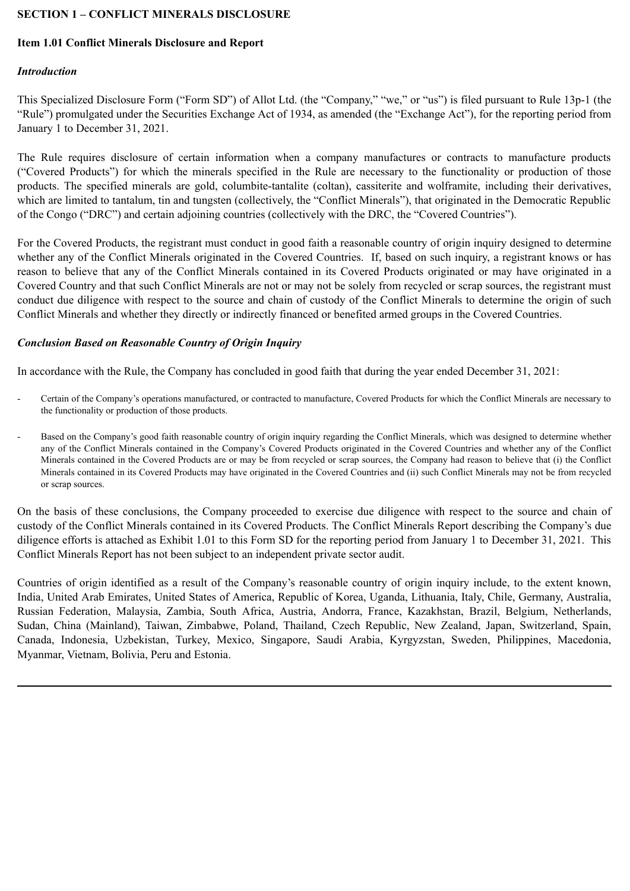# **SECTION 1 – CONFLICT MINERALS DISCLOSURE**

## **Item 1.01 Conflict Minerals Disclosure and Report**

### *Introduction*

This Specialized Disclosure Form ("Form SD") of Allot Ltd. (the "Company," "we," or "us") is filed pursuant to Rule 13p-1 (the "Rule") promulgated under the Securities Exchange Act of 1934, as amended (the "Exchange Act"), for the reporting period from January 1 to December 31, 2021.

The Rule requires disclosure of certain information when a company manufactures or contracts to manufacture products ("Covered Products") for which the minerals specified in the Rule are necessary to the functionality or production of those products. The specified minerals are gold, columbite-tantalite (coltan), cassiterite and wolframite, including their derivatives, which are limited to tantalum, tin and tungsten (collectively, the "Conflict Minerals"), that originated in the Democratic Republic of the Congo ("DRC") and certain adjoining countries (collectively with the DRC, the "Covered Countries").

For the Covered Products, the registrant must conduct in good faith a reasonable country of origin inquiry designed to determine whether any of the Conflict Minerals originated in the Covered Countries. If, based on such inquiry, a registrant knows or has reason to believe that any of the Conflict Minerals contained in its Covered Products originated or may have originated in a Covered Country and that such Conflict Minerals are not or may not be solely from recycled or scrap sources, the registrant must conduct due diligence with respect to the source and chain of custody of the Conflict Minerals to determine the origin of such Conflict Minerals and whether they directly or indirectly financed or benefited armed groups in the Covered Countries.

## *Conclusion Based on Reasonable Country of Origin Inquiry*

In accordance with the Rule, the Company has concluded in good faith that during the year ended December 31, 2021:

- Certain of the Company's operations manufactured, or contracted to manufacture, Covered Products for which the Conflict Minerals are necessary to the functionality or production of those products.
- Based on the Company's good faith reasonable country of origin inquiry regarding the Conflict Minerals, which was designed to determine whether any of the Conflict Minerals contained in the Company's Covered Products originated in the Covered Countries and whether any of the Conflict Minerals contained in the Covered Products are or may be from recycled or scrap sources, the Company had reason to believe that (i) the Conflict Minerals contained in its Covered Products may have originated in the Covered Countries and (ii) such Conflict Minerals may not be from recycled or scrap sources.

On the basis of these conclusions, the Company proceeded to exercise due diligence with respect to the source and chain of custody of the Conflict Minerals contained in its Covered Products. The Conflict Minerals Report describing the Company's due diligence efforts is attached as Exhibit 1.01 to this Form SD for the reporting period from January 1 to December 31, 2021. This Conflict Minerals Report has not been subject to an independent private sector audit.

Countries of origin identified as a result of the Company's reasonable country of origin inquiry include, to the extent known, India, United Arab Emirates, United States of America, Republic of Korea, Uganda, Lithuania, Italy, Chile, Germany, Australia, Russian Federation, Malaysia, Zambia, South Africa, Austria, Andorra, France, Kazakhstan, Brazil, Belgium, Netherlands, Sudan, China (Mainland), Taiwan, Zimbabwe, Poland, Thailand, Czech Republic, New Zealand, Japan, Switzerland, Spain, Canada, Indonesia, Uzbekistan, Turkey, Mexico, Singapore, Saudi Arabia, Kyrgyzstan, Sweden, Philippines, Macedonia, Myanmar, Vietnam, Bolivia, Peru and Estonia.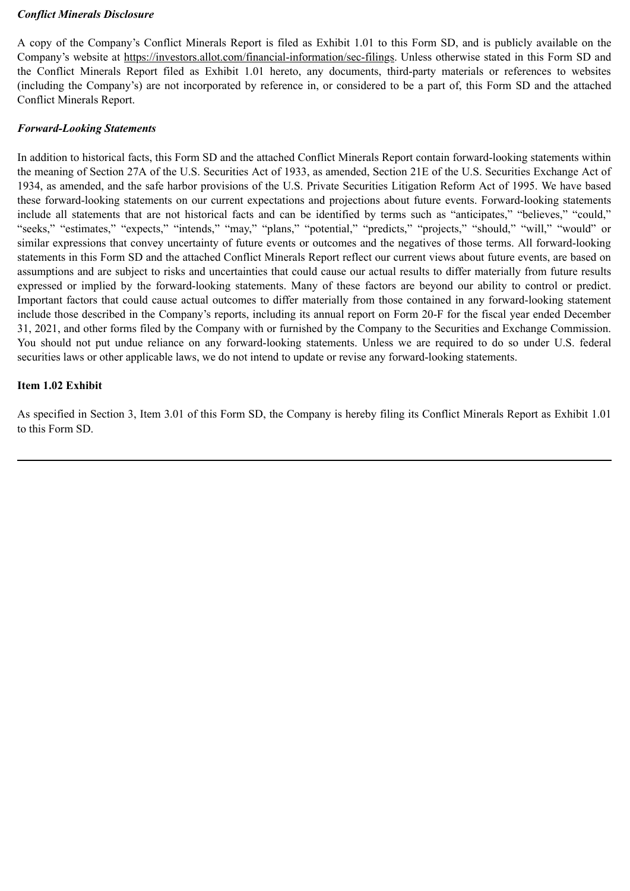### *Conflict Minerals Disclosure*

A copy of the Company's Conflict Minerals Report is filed as Exhibit 1.01 to this Form SD, and is publicly available on the Company's website at https://investors.allot.com/financial-information/sec-filings. Unless otherwise stated in this Form SD and the Conflict Minerals Report filed as Exhibit 1.01 hereto, any documents, third-party materials or references to websites (including the Company's) are not incorporated by reference in, or considered to be a part of, this Form SD and the attached Conflict Minerals Report.

# *Forward-Looking Statements*

In addition to historical facts, this Form SD and the attached Conflict Minerals Report contain forward-looking statements within the meaning of Section 27A of the U.S. Securities Act of 1933, as amended, Section 21E of the U.S. Securities Exchange Act of 1934, as amended, and the safe harbor provisions of the U.S. Private Securities Litigation Reform Act of 1995. We have based these forward-looking statements on our current expectations and projections about future events. Forward-looking statements include all statements that are not historical facts and can be identified by terms such as "anticipates," "believes," "could," "seeks," "estimates," "expects," "intends," "may," "plans," "potential," "predicts," "projects," "should," "will," "would" or similar expressions that convey uncertainty of future events or outcomes and the negatives of those terms. All forward-looking statements in this Form SD and the attached Conflict Minerals Report reflect our current views about future events, are based on assumptions and are subject to risks and uncertainties that could cause our actual results to differ materially from future results expressed or implied by the forward-looking statements. Many of these factors are beyond our ability to control or predict. Important factors that could cause actual outcomes to differ materially from those contained in any forward-looking statement include those described in the Company's reports, including its annual report on Form 20-F for the fiscal year ended December 31, 2021, and other forms filed by the Company with or furnished by the Company to the Securities and Exchange Commission. You should not put undue reliance on any forward-looking statements. Unless we are required to do so under U.S. federal securities laws or other applicable laws, we do not intend to update or revise any forward-looking statements.

# **Item 1.02 Exhibit**

As specified in Section 3, Item 3.01 of this Form SD, the Company is hereby filing its Conflict Minerals Report as Exhibit 1.01 to this Form SD.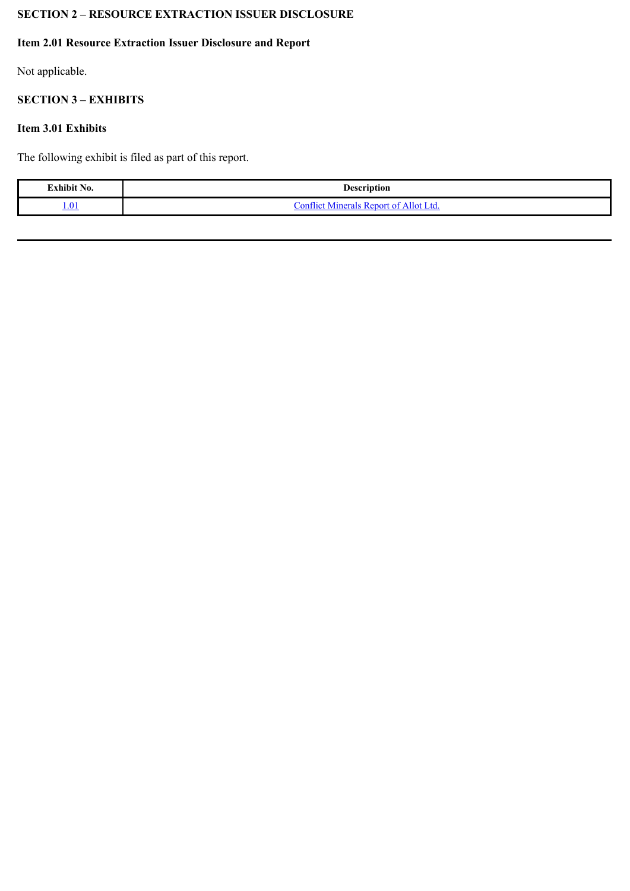# **SECTION 2 – RESOURCE EXTRACTION ISSUER DISCLOSURE**

# **Item 2.01 Resource Extraction Issuer Disclosure and Report**

Not applicable.

# **SECTION 3 – EXHIBITS**

### **Item 3.01 Exhibits**

The following exhibit is filed as part of this report.

| Exhibit No. | <b>Description</b>                                     |
|-------------|--------------------------------------------------------|
| 1.01        | Allot 1<br>'∩ni<br><b>Mineral</b><br>- T.C<br>$\cdots$ |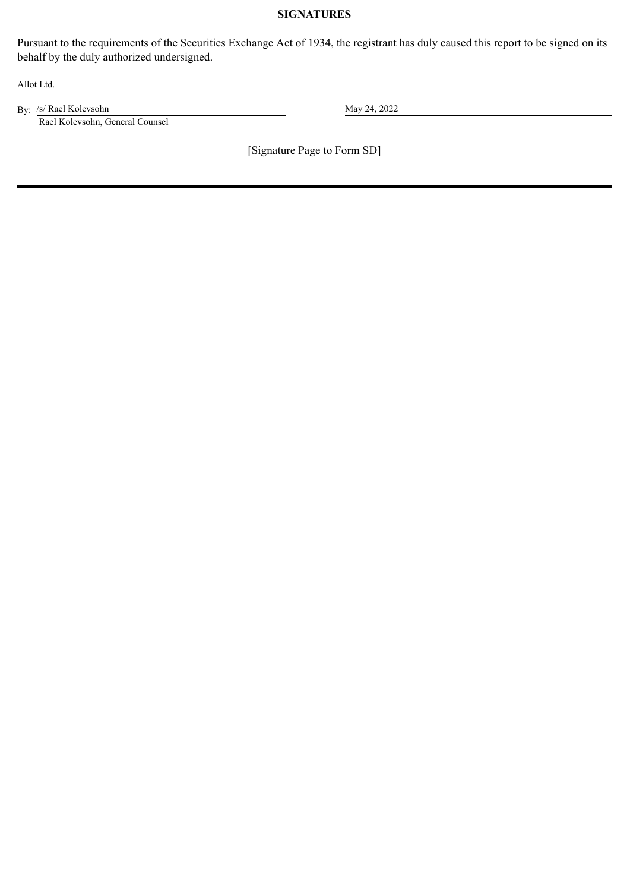## **SIGNATURES**

Pursuant to the requirements of the Securities Exchange Act of 1934, the registrant has duly caused this report to be signed on its behalf by the duly authorized undersigned.

Allot Ltd.

By: /s/ Rael Kolevsohn May 24, 2022 Rael Kolevsohn, General Counsel

[Signature Page to Form SD]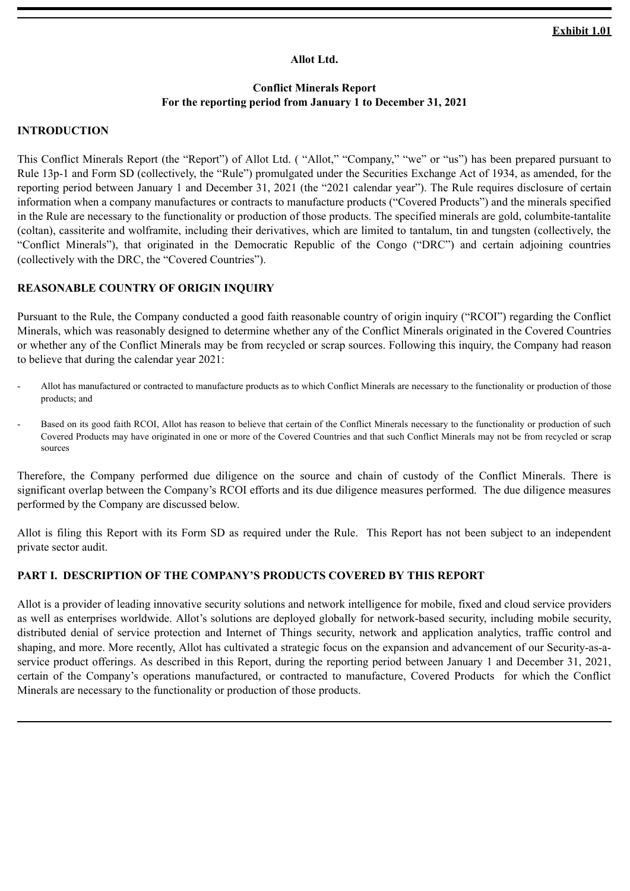# **Allot Ltd.**

# **Conflict Minerals Report For the reporting period from January 1 to December 31, 2021**

# <span id="page-5-0"></span>**INTRODUCTION**

This Conflict Minerals Report (the "Report") of Allot Ltd. ( "Allot," "Company," "we" or "us") has been prepared pursuant to Rule 13p-1 and Form SD (collectively, the "Rule") promulgated under the Securities Exchange Act of 1934, as amended, for the reporting period between January 1 and December 31, 2021 (the "2021 calendar year"). The Rule requires disclosure of certain information when a company manufactures or contracts to manufacture products ("Covered Products") and the minerals specified in the Rule are necessary to the functionality or production of those products. The specified minerals are gold, columbite-tantalite (coltan), cassiterite and wolframite, including their derivatives, which are limited to tantalum, tin and tungsten (collectively, the "Conflict Minerals"), that originated in the Democratic Republic of the Congo ("DRC") and certain adjoining countries (collectively with the DRC, the "Covered Countries").

## **REASONABLE COUNTRY OF ORIGIN INQUIRY**

Pursuant to the Rule, the Company conducted a good faith reasonable country of origin inquiry ("RCOI") regarding the Conflict Minerals, which was reasonably designed to determine whether any of the Conflict Minerals originated in the Covered Countries or whether any of the Conflict Minerals may be from recycled or scrap sources. Following this inquiry, the Company had reason to believe that during the calendar year 2021:

- Allot has manufactured or contracted to manufacture products as to which Conflict Minerals are necessary to the functionality or production of those products; and
- Based on its good faith RCOI, Allot has reason to believe that certain of the Conflict Minerals necessary to the functionality or production of such Covered Products may have originated in one or more of the Covered Countries and that such Conflict Minerals may not be from recycled or scrap sources

Therefore, the Company performed due diligence on the source and chain of custody of the Conflict Minerals. There is significant overlap between the Company's RCOI efforts and its due diligence measures performed. The due diligence measures performed by the Company are discussed below.

Allot is filing this Report with its Form SD as required under the Rule. This Report has not been subject to an independent private sector audit.

# **PART I. DESCRIPTION OF THE COMPANY'S PRODUCTS COVERED BY THIS REPORT**

Allot is a provider of leading innovative security solutions and network intelligence for mobile, fixed and cloud service providers as well as enterprises worldwide. Allot's solutions are deployed globally for network-based security, including mobile security, distributed denial of service protection and Internet of Things security, network and application analytics, traffic control and shaping, and more. More recently, Allot has cultivated a strategic focus on the expansion and advancement of our Security-as-aservice product offerings. As described in this Report, during the reporting period between January 1 and December 31, 2021, certain of the Company's operations manufactured, or contracted to manufacture, Covered Products for which the Conflict Minerals are necessary to the functionality or production of those products.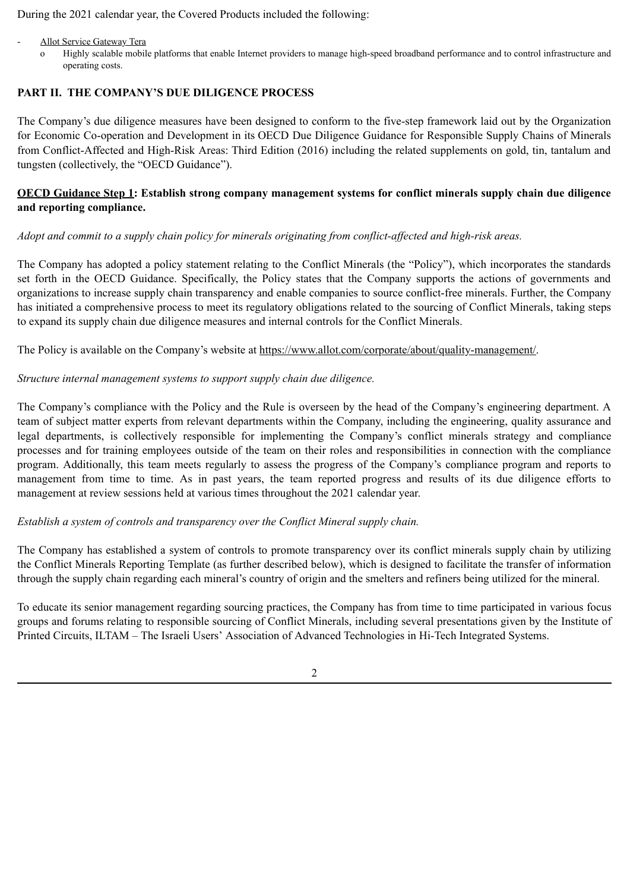During the 2021 calendar year, the Covered Products included the following:

- Allot Service Gateway Tera
	- o Highly scalable mobile platforms that enable Internet providers to manage high-speed broadband performance and to control infrastructure and operating costs.

# **PART II. THE COMPANY'S DUE DILIGENCE PROCESS**

The Company's due diligence measures have been designed to conform to the five-step framework laid out by the Organization for Economic Co-operation and Development in its OECD Due Diligence Guidance for Responsible Supply Chains of Minerals from Conflict-Affected and High-Risk Areas: Third Edition (2016) including the related supplements on gold, tin, tantalum and tungsten (collectively, the "OECD Guidance").

# **OECD Guidance Step 1: Establish strong company management systems for conflict minerals supply chain due diligence and reporting compliance.**

# *Adopt and commit to a supply chain policy for minerals originating from conflict-affected and high-risk areas.*

The Company has adopted a policy statement relating to the Conflict Minerals (the "Policy"), which incorporates the standards set forth in the OECD Guidance. Specifically, the Policy states that the Company supports the actions of governments and organizations to increase supply chain transparency and enable companies to source conflict-free minerals. Further, the Company has initiated a comprehensive process to meet its regulatory obligations related to the sourcing of Conflict Minerals, taking steps to expand its supply chain due diligence measures and internal controls for the Conflict Minerals.

The Policy is available on the Company's website at https://www.allot.com/corporate/about/quality-management/.

# *Structure internal management systems to support supply chain due diligence.*

The Company's compliance with the Policy and the Rule is overseen by the head of the Company's engineering department. A team of subject matter experts from relevant departments within the Company, including the engineering, quality assurance and legal departments, is collectively responsible for implementing the Company's conflict minerals strategy and compliance processes and for training employees outside of the team on their roles and responsibilities in connection with the compliance program. Additionally, this team meets regularly to assess the progress of the Company's compliance program and reports to management from time to time. As in past years, the team reported progress and results of its due diligence efforts to management at review sessions held at various times throughout the 2021 calendar year.

# *Establish a system of controls and transparency over the Conflict Mineral supply chain.*

The Company has established a system of controls to promote transparency over its conflict minerals supply chain by utilizing the Conflict Minerals Reporting Template (as further described below), which is designed to facilitate the transfer of information through the supply chain regarding each mineral's country of origin and the smelters and refiners being utilized for the mineral.

To educate its senior management regarding sourcing practices, the Company has from time to time participated in various focus groups and forums relating to responsible sourcing of Conflict Minerals, including several presentations given by the Institute of Printed Circuits, ILTAM – The Israeli Users' Association of Advanced Technologies in Hi-Tech Integrated Systems.

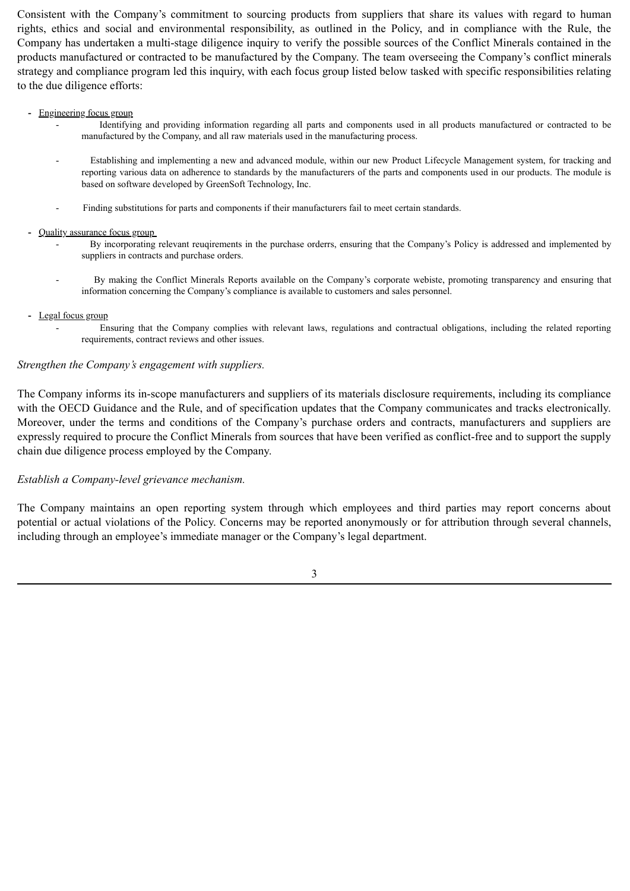Consistent with the Company's commitment to sourcing products from suppliers that share its values with regard to human rights, ethics and social and environmental responsibility, as outlined in the Policy, and in compliance with the Rule, the Company has undertaken a multi-stage diligence inquiry to verify the possible sources of the Conflict Minerals contained in the products manufactured or contracted to be manufactured by the Company. The team overseeing the Company's conflict minerals strategy and compliance program led this inquiry, with each focus group listed below tasked with specific responsibilities relating to the due diligence efforts:

- **-** Engineering focus group
	- Identifying and providing information regarding all parts and components used in all products manufactured or contracted to be manufactured by the Company, and all raw materials used in the manufacturing process.
	- Establishing and implementing a new and advanced module, within our new Product Lifecycle Management system, for tracking and reporting various data on adherence to standards by the manufacturers of the parts and components used in our products. The module is based on software developed by GreenSoft Technology, Inc.
	- Finding substitutions for parts and components if their manufacturers fail to meet certain standards.
- **-** Quality assurance focus group
	- By incorporating relevant reuqirements in the purchase orderrs, ensuring that the Company's Policy is addressed and implemented by suppliers in contracts and purchase orders.
	- By making the Conflict Minerals Reports available on the Company's corporate webiste, promoting transparency and ensuring that information concerning the Company's compliance is available to customers and sales personnel.
- **-** Legal focus group
	- Ensuring that the Company complies with relevant laws, regulations and contractual obligations, including the related reporting requirements, contract reviews and other issues.

### *Strengthen the Company's engagement with suppliers.*

The Company informs its in-scope manufacturers and suppliers of its materials disclosure requirements, including its compliance with the OECD Guidance and the Rule, and of specification updates that the Company communicates and tracks electronically. Moreover, under the terms and conditions of the Company's purchase orders and contracts, manufacturers and suppliers are expressly required to procure the Conflict Minerals from sources that have been verified as conflict-free and to support the supply chain due diligence process employed by the Company.

### *Establish a Company-level grievance mechanism.*

The Company maintains an open reporting system through which employees and third parties may report concerns about potential or actual violations of the Policy. Concerns may be reported anonymously or for attribution through several channels, including through an employee's immediate manager or the Company's legal department.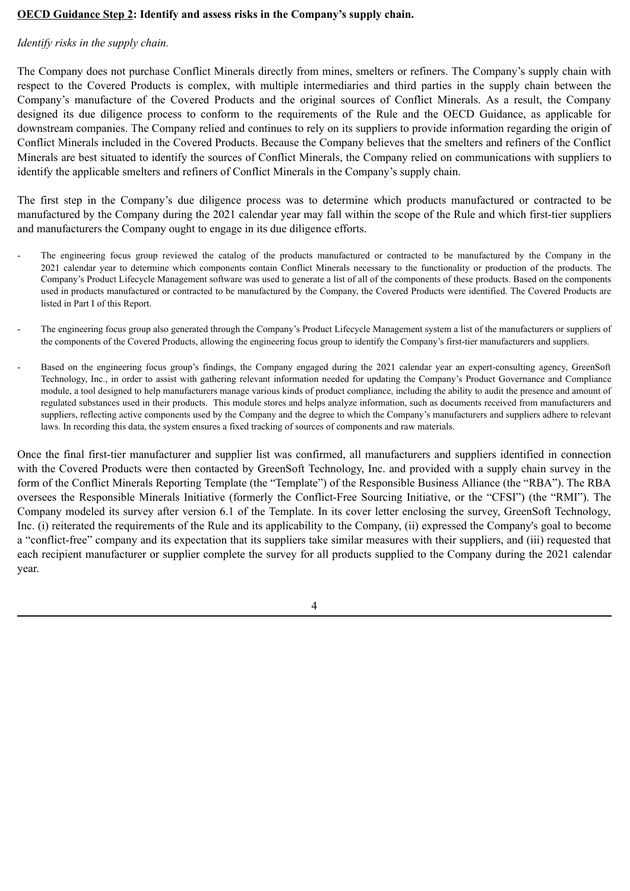### **OECD Guidance Step 2: Identify and assess risks in the Company's supply chain.**

### *Identify risks in the supply chain.*

The Company does not purchase Conflict Minerals directly from mines, smelters or refiners. The Company's supply chain with respect to the Covered Products is complex, with multiple intermediaries and third parties in the supply chain between the Company's manufacture of the Covered Products and the original sources of Conflict Minerals. As a result, the Company designed its due diligence process to conform to the requirements of the Rule and the OECD Guidance, as applicable for downstream companies. The Company relied and continues to rely on its suppliers to provide information regarding the origin of Conflict Minerals included in the Covered Products. Because the Company believes that the smelters and refiners of the Conflict Minerals are best situated to identify the sources of Conflict Minerals, the Company relied on communications with suppliers to identify the applicable smelters and refiners of Conflict Minerals in the Company's supply chain.

The first step in the Company's due diligence process was to determine which products manufactured or contracted to be manufactured by the Company during the 2021 calendar year may fall within the scope of the Rule and which first-tier suppliers and manufacturers the Company ought to engage in its due diligence efforts.

- The engineering focus group reviewed the catalog of the products manufactured or contracted to be manufactured by the Company in the 2021 calendar year to determine which components contain Conflict Minerals necessary to the functionality or production of the products. The Company's Product Lifecycle Management software was used to generate a list of all of the components of these products. Based on the components used in products manufactured or contracted to be manufactured by the Company, the Covered Products were identified. The Covered Products are listed in Part I of this Report.
- The engineering focus group also generated through the Company's Product Lifecycle Management system a list of the manufacturers or suppliers of the components of the Covered Products, allowing the engineering focus group to identify the Company's first-tier manufacturers and suppliers.
- Based on the engineering focus group's findings, the Company engaged during the 2021 calendar year an expert-consulting agency, GreenSoft Technology, Inc., in order to assist with gathering relevant information needed for updating the Company's Product Governance and Compliance module, a tool designed to help manufacturers manage various kinds of product compliance, including the ability to audit the presence and amount of regulated substances used in their products. This module stores and helps analyze information, such as documents received from manufacturers and suppliers, reflecting active components used by the Company and the degree to which the Company's manufacturers and suppliers adhere to relevant laws. In recording this data, the system ensures a fixed tracking of sources of components and raw materials.

Once the final first-tier manufacturer and supplier list was confirmed, all manufacturers and suppliers identified in connection with the Covered Products were then contacted by GreenSoft Technology, Inc. and provided with a supply chain survey in the form of the Conflict Minerals Reporting Template (the "Template") of the Responsible Business Alliance (the "RBA"). The RBA oversees the Responsible Minerals Initiative (formerly the Conflict-Free Sourcing Initiative, or the "CFSI") (the "RMI"). The Company modeled its survey after version 6.1 of the Template. In its cover letter enclosing the survey, GreenSoft Technology, Inc. (i) reiterated the requirements of the Rule and its applicability to the Company, (ii) expressed the Company's goal to become a "conflict-free" company and its expectation that its suppliers take similar measures with their suppliers, and (iii) requested that each recipient manufacturer or supplier complete the survey for all products supplied to the Company during the 2021 calendar year.

4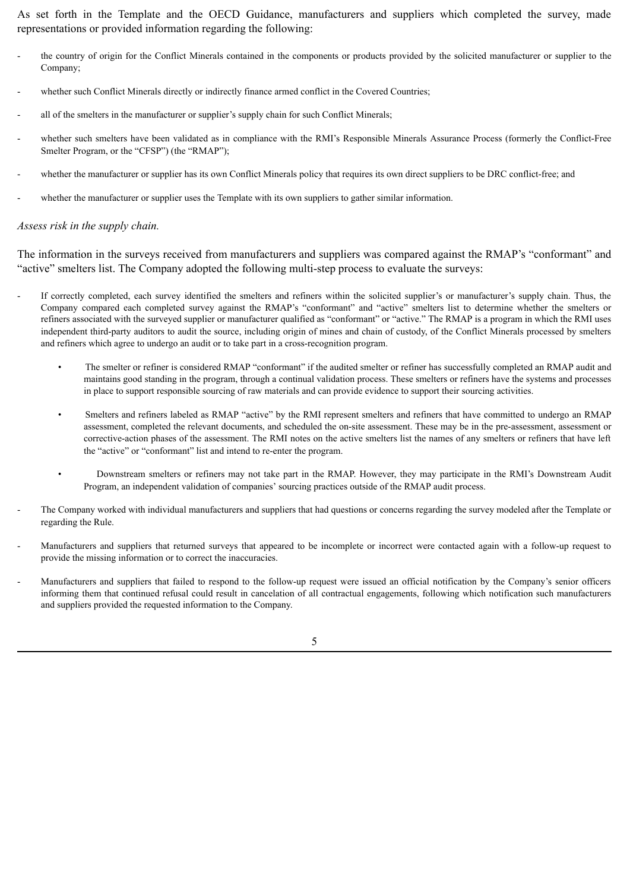As set forth in the Template and the OECD Guidance, manufacturers and suppliers which completed the survey, made representations or provided information regarding the following:

- the country of origin for the Conflict Minerals contained in the components or products provided by the solicited manufacturer or supplier to the Company;
- whether such Conflict Minerals directly or indirectly finance armed conflict in the Covered Countries;
- all of the smelters in the manufacturer or supplier's supply chain for such Conflict Minerals;
- whether such smelters have been validated as in compliance with the RMI's Responsible Minerals Assurance Process (formerly the Conflict-Free Smelter Program, or the "CFSP") (the "RMAP");
- whether the manufacturer or supplier has its own Conflict Minerals policy that requires its own direct suppliers to be DRC conflict-free; and
- whether the manufacturer or supplier uses the Template with its own suppliers to gather similar information.

#### *Assess risk in the supply chain.*

The information in the surveys received from manufacturers and suppliers was compared against the RMAP's "conformant" and "active" smelters list. The Company adopted the following multi-step process to evaluate the surveys:

- If correctly completed, each survey identified the smelters and refiners within the solicited supplier's or manufacturer's supply chain. Thus, the Company compared each completed survey against the RMAP's "conformant" and "active" smelters list to determine whether the smelters or refiners associated with the surveyed supplier or manufacturer qualified as "conformant" or "active." The RMAP is a program in which the RMI uses independent third-party auditors to audit the source, including origin of mines and chain of custody, of the Conflict Minerals processed by smelters and refiners which agree to undergo an audit or to take part in a cross-recognition program.
	- The smelter or refiner is considered RMAP "conformant" if the audited smelter or refiner has successfully completed an RMAP audit and maintains good standing in the program, through a continual validation process. These smelters or refiners have the systems and processes in place to support responsible sourcing of raw materials and can provide evidence to support their sourcing activities.
	- Smelters and refiners labeled as RMAP "active" by the RMI represent smelters and refiners that have committed to undergo an RMAP assessment, completed the relevant documents, and scheduled the on-site assessment. These may be in the pre-assessment, assessment or corrective-action phases of the assessment. The RMI notes on the active smelters list the names of any smelters or refiners that have left the "active" or "conformant" list and intend to re-enter the program.
	- Downstream smelters or refiners may not take part in the RMAP. However, they may participate in the RMI's Downstream Audit Program, an independent validation of companies' sourcing practices outside of the RMAP audit process.
- The Company worked with individual manufacturers and suppliers that had questions or concerns regarding the survey modeled after the Template or regarding the Rule.
- Manufacturers and suppliers that returned surveys that appeared to be incomplete or incorrect were contacted again with a follow-up request to provide the missing information or to correct the inaccuracies.
- Manufacturers and suppliers that failed to respond to the follow-up request were issued an official notification by the Company's senior officers informing them that continued refusal could result in cancelation of all contractual engagements, following which notification such manufacturers and suppliers provided the requested information to the Company.

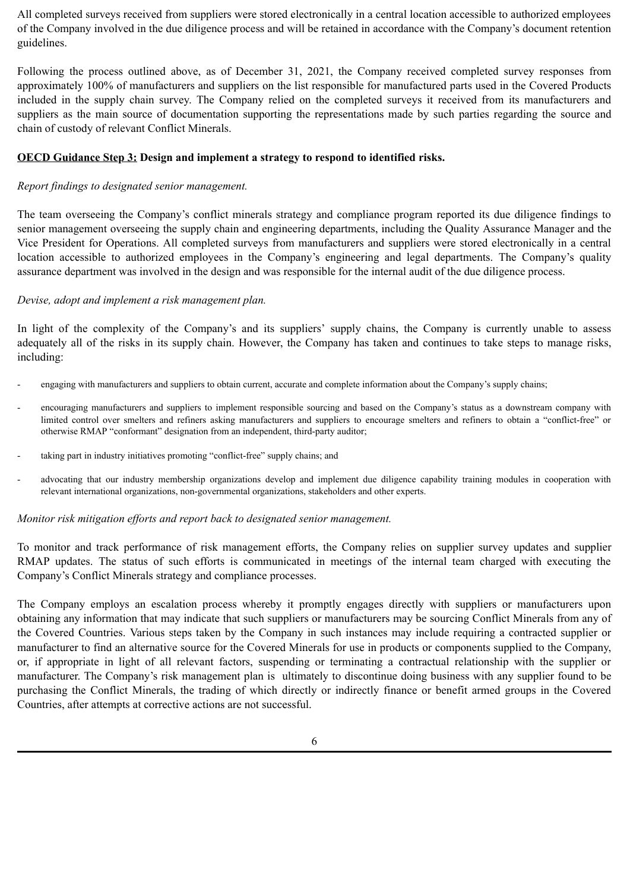All completed surveys received from suppliers were stored electronically in a central location accessible to authorized employees of the Company involved in the due diligence process and will be retained in accordance with the Company's document retention guidelines.

Following the process outlined above, as of December 31, 2021, the Company received completed survey responses from approximately 100% of manufacturers and suppliers on the list responsible for manufactured parts used in the Covered Products included in the supply chain survey. The Company relied on the completed surveys it received from its manufacturers and suppliers as the main source of documentation supporting the representations made by such parties regarding the source and chain of custody of relevant Conflict Minerals.

## **OECD Guidance Step 3: Design and implement a strategy to respond to identified risks.**

## *Report findings to designated senior management.*

The team overseeing the Company's conflict minerals strategy and compliance program reported its due diligence findings to senior management overseeing the supply chain and engineering departments, including the Quality Assurance Manager and the Vice President for Operations. All completed surveys from manufacturers and suppliers were stored electronically in a central location accessible to authorized employees in the Company's engineering and legal departments. The Company's quality assurance department was involved in the design and was responsible for the internal audit of the due diligence process.

### *Devise, adopt and implement a risk management plan.*

In light of the complexity of the Company's and its suppliers' supply chains, the Company is currently unable to assess adequately all of the risks in its supply chain. However, the Company has taken and continues to take steps to manage risks, including:

- engaging with manufacturers and suppliers to obtain current, accurate and complete information about the Company's supply chains;
- encouraging manufacturers and suppliers to implement responsible sourcing and based on the Company's status as a downstream company with limited control over smelters and refiners asking manufacturers and suppliers to encourage smelters and refiners to obtain a "conflict-free" or otherwise RMAP "conformant" designation from an independent, third-party auditor;
- taking part in industry initiatives promoting "conflict-free" supply chains; and
- advocating that our industry membership organizations develop and implement due diligence capability training modules in cooperation with relevant international organizations, non-governmental organizations, stakeholders and other experts.

### *Monitor risk mitigation efforts and report back to designated senior management.*

To monitor and track performance of risk management efforts, the Company relies on supplier survey updates and supplier RMAP updates. The status of such efforts is communicated in meetings of the internal team charged with executing the Company's Conflict Minerals strategy and compliance processes.

The Company employs an escalation process whereby it promptly engages directly with suppliers or manufacturers upon obtaining any information that may indicate that such suppliers or manufacturers may be sourcing Conflict Minerals from any of the Covered Countries. Various steps taken by the Company in such instances may include requiring a contracted supplier or manufacturer to find an alternative source for the Covered Minerals for use in products or components supplied to the Company, or, if appropriate in light of all relevant factors, suspending or terminating a contractual relationship with the supplier or manufacturer. The Company's risk management plan is ultimately to discontinue doing business with any supplier found to be purchasing the Conflict Minerals, the trading of which directly or indirectly finance or benefit armed groups in the Covered Countries, after attempts at corrective actions are not successful.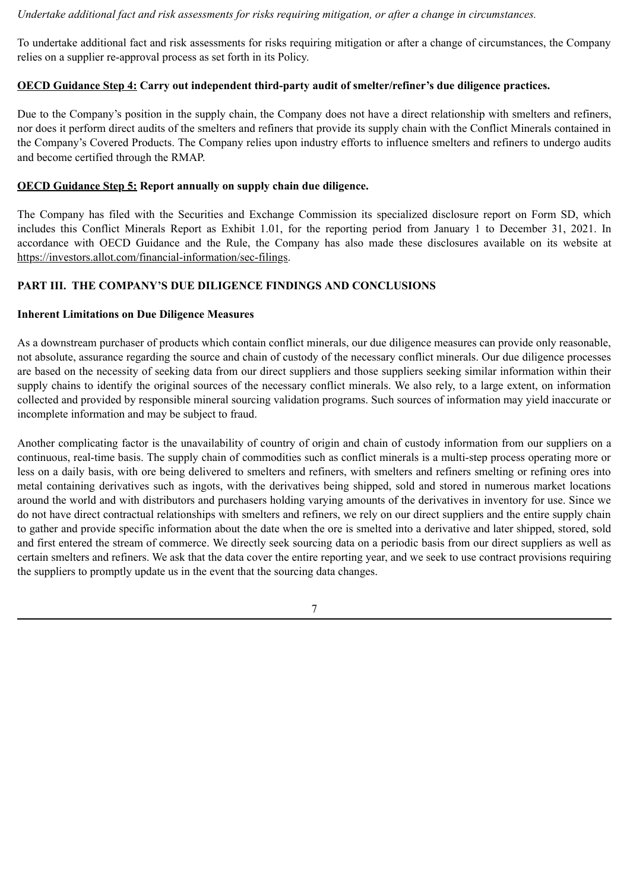*Undertake additional fact and risk assessments for risks requiring mitigation, or after a change in circumstances.*

To undertake additional fact and risk assessments for risks requiring mitigation or after a change of circumstances, the Company relies on a supplier re-approval process as set forth in its Policy.

# **OECD Guidance Step 4: Carry out independent third-party audit of smelter/refiner's due diligence practices.**

Due to the Company's position in the supply chain, the Company does not have a direct relationship with smelters and refiners, nor does it perform direct audits of the smelters and refiners that provide its supply chain with the Conflict Minerals contained in the Company's Covered Products. The Company relies upon industry efforts to influence smelters and refiners to undergo audits and become certified through the RMAP.

# **OECD Guidance Step 5: Report annually on supply chain due diligence.**

The Company has filed with the Securities and Exchange Commission its specialized disclosure report on Form SD, which includes this Conflict Minerals Report as Exhibit 1.01, for the reporting period from January 1 to December 31, 2021. In accordance with OECD Guidance and the Rule, the Company has also made these disclosures available on its website at https://investors.allot.com/financial-information/sec-filings.

# **PART III. THE COMPANY'S DUE DILIGENCE FINDINGS AND CONCLUSIONS**

# **Inherent Limitations on Due Diligence Measures**

As a downstream purchaser of products which contain conflict minerals, our due diligence measures can provide only reasonable, not absolute, assurance regarding the source and chain of custody of the necessary conflict minerals. Our due diligence processes are based on the necessity of seeking data from our direct suppliers and those suppliers seeking similar information within their supply chains to identify the original sources of the necessary conflict minerals. We also rely, to a large extent, on information collected and provided by responsible mineral sourcing validation programs. Such sources of information may yield inaccurate or incomplete information and may be subject to fraud.

Another complicating factor is the unavailability of country of origin and chain of custody information from our suppliers on a continuous, real-time basis. The supply chain of commodities such as conflict minerals is a multi-step process operating more or less on a daily basis, with ore being delivered to smelters and refiners, with smelters and refiners smelting or refining ores into metal containing derivatives such as ingots, with the derivatives being shipped, sold and stored in numerous market locations around the world and with distributors and purchasers holding varying amounts of the derivatives in inventory for use. Since we do not have direct contractual relationships with smelters and refiners, we rely on our direct suppliers and the entire supply chain to gather and provide specific information about the date when the ore is smelted into a derivative and later shipped, stored, sold and first entered the stream of commerce. We directly seek sourcing data on a periodic basis from our direct suppliers as well as certain smelters and refiners. We ask that the data cover the entire reporting year, and we seek to use contract provisions requiring the suppliers to promptly update us in the event that the sourcing data changes.

7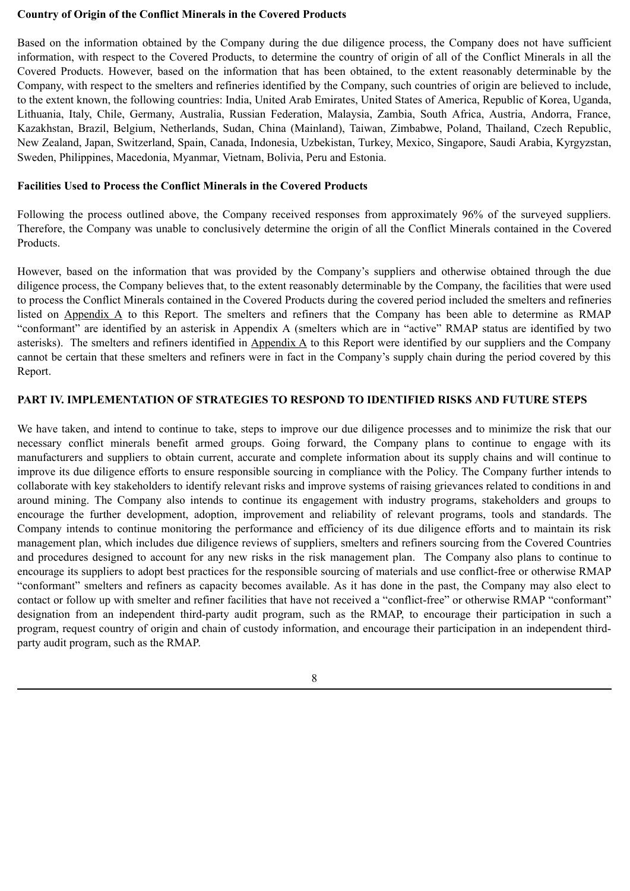### **Country of Origin of the Conflict Minerals in the Covered Products**

Based on the information obtained by the Company during the due diligence process, the Company does not have sufficient information, with respect to the Covered Products, to determine the country of origin of all of the Conflict Minerals in all the Covered Products. However, based on the information that has been obtained, to the extent reasonably determinable by the Company, with respect to the smelters and refineries identified by the Company, such countries of origin are believed to include, to the extent known, the following countries: India, United Arab Emirates, United States of America, Republic of Korea, Uganda, Lithuania, Italy, Chile, Germany, Australia, Russian Federation, Malaysia, Zambia, South Africa, Austria, Andorra, France, Kazakhstan, Brazil, Belgium, Netherlands, Sudan, China (Mainland), Taiwan, Zimbabwe, Poland, Thailand, Czech Republic, New Zealand, Japan, Switzerland, Spain, Canada, Indonesia, Uzbekistan, Turkey, Mexico, Singapore, Saudi Arabia, Kyrgyzstan, Sweden, Philippines, Macedonia, Myanmar, Vietnam, Bolivia, Peru and Estonia.

# **Facilities Used to Process the Conflict Minerals in the Covered Products**

Following the process outlined above, the Company received responses from approximately 96% of the surveyed suppliers. Therefore, the Company was unable to conclusively determine the origin of all the Conflict Minerals contained in the Covered Products.

However, based on the information that was provided by the Company's suppliers and otherwise obtained through the due diligence process, the Company believes that, to the extent reasonably determinable by the Company, the facilities that were used to process the Conflict Minerals contained in the Covered Products during the covered period included the smelters and refineries listed on Appendix A to this Report. The smelters and refiners that the Company has been able to determine as RMAP "conformant" are identified by an asterisk in Appendix A (smelters which are in "active" RMAP status are identified by two asterisks). The smelters and refiners identified in Appendix A to this Report were identified by our suppliers and the Company cannot be certain that these smelters and refiners were in fact in the Company's supply chain during the period covered by this Report.

## **PART IV. IMPLEMENTATION OF STRATEGIES TO RESPOND TO IDENTIFIED RISKS AND FUTURE STEPS**

We have taken, and intend to continue to take, steps to improve our due diligence processes and to minimize the risk that our necessary conflict minerals benefit armed groups. Going forward, the Company plans to continue to engage with its manufacturers and suppliers to obtain current, accurate and complete information about its supply chains and will continue to improve its due diligence efforts to ensure responsible sourcing in compliance with the Policy. The Company further intends to collaborate with key stakeholders to identify relevant risks and improve systems of raising grievances related to conditions in and around mining. The Company also intends to continue its engagement with industry programs, stakeholders and groups to encourage the further development, adoption, improvement and reliability of relevant programs, tools and standards. The Company intends to continue monitoring the performance and efficiency of its due diligence efforts and to maintain its risk management plan, which includes due diligence reviews of suppliers, smelters and refiners sourcing from the Covered Countries and procedures designed to account for any new risks in the risk management plan. The Company also plans to continue to encourage its suppliers to adopt best practices for the responsible sourcing of materials and use conflict-free or otherwise RMAP "conformant" smelters and refiners as capacity becomes available. As it has done in the past, the Company may also elect to contact or follow up with smelter and refiner facilities that have not received a "conflict-free" or otherwise RMAP "conformant" designation from an independent third-party audit program, such as the RMAP, to encourage their participation in such a program, request country of origin and chain of custody information, and encourage their participation in an independent thirdparty audit program, such as the RMAP.

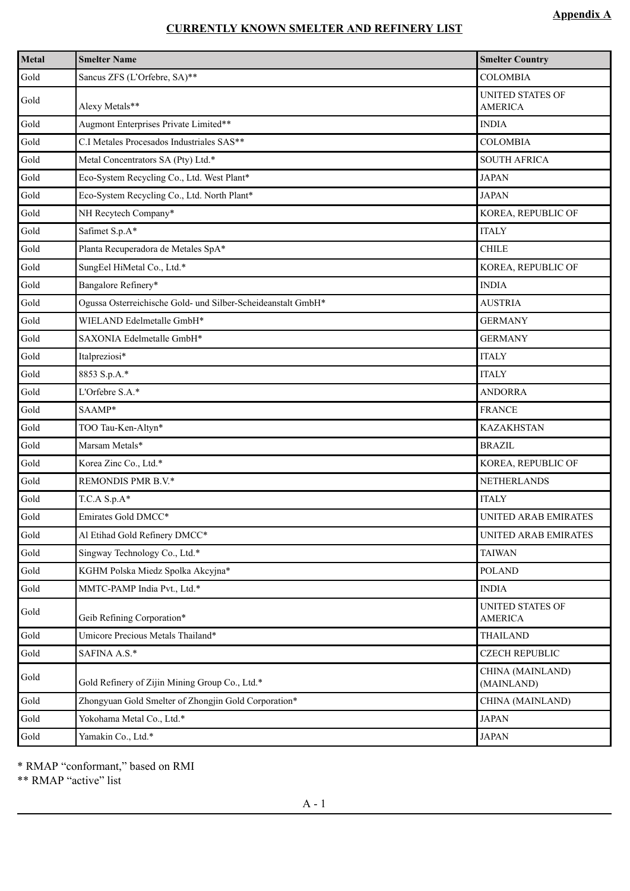# **CURRENTLY KNOWN SMELTER AND REFINERY LIST**

| Metal | <b>Smelter Name</b>                                          | <b>Smelter Country</b>                    |
|-------|--------------------------------------------------------------|-------------------------------------------|
| Gold  | Sancus ZFS (L'Orfebre, SA)**                                 | <b>COLOMBIA</b>                           |
| Gold  | Alexy Metals**                                               | UNITED STATES OF<br><b>AMERICA</b>        |
| Gold  | Augmont Enterprises Private Limited**                        | <b>INDIA</b>                              |
| Gold  | C.I Metales Procesados Industriales SAS**                    | <b>COLOMBIA</b>                           |
| Gold  | Metal Concentrators SA (Pty) Ltd.*                           | <b>SOUTH AFRICA</b>                       |
| Gold  | Eco-System Recycling Co., Ltd. West Plant*                   | <b>JAPAN</b>                              |
| Gold  | Eco-System Recycling Co., Ltd. North Plant*                  | <b>JAPAN</b>                              |
| Gold  | NH Recytech Company*                                         | KOREA, REPUBLIC OF                        |
| Gold  | Safimet S.p.A*                                               | <b>ITALY</b>                              |
| Gold  | Planta Recuperadora de Metales SpA*                          | <b>CHILE</b>                              |
| Gold  | SungEel HiMetal Co., Ltd.*                                   | KOREA, REPUBLIC OF                        |
| Gold  | Bangalore Refinery*                                          | <b>INDIA</b>                              |
| Gold  | Ogussa Osterreichische Gold- und Silber-Scheideanstalt GmbH* | <b>AUSTRIA</b>                            |
| Gold  | WIELAND Edelmetalle GmbH*                                    | <b>GERMANY</b>                            |
| Gold  | SAXONIA Edelmetalle GmbH*                                    | <b>GERMANY</b>                            |
| Gold  | Italpreziosi*                                                | <b>ITALY</b>                              |
| Gold  | 8853 S.p.A.*                                                 | <b>ITALY</b>                              |
| Gold  | L'Orfebre S.A.*                                              | <b>ANDORRA</b>                            |
| Gold  | SAAMP*                                                       | <b>FRANCE</b>                             |
| Gold  | TOO Tau-Ken-Altyn*                                           | <b>KAZAKHSTAN</b>                         |
| Gold  | Marsam Metals*                                               | <b>BRAZIL</b>                             |
| Gold  | Korea Zinc Co., Ltd.*                                        | KOREA, REPUBLIC OF                        |
| Gold  | REMONDIS PMR B.V.*                                           | <b>NETHERLANDS</b>                        |
| Gold  | $T.C.A S.p.A*$                                               | <b>ITALY</b>                              |
| Gold  | Emirates Gold DMCC*                                          | UNITED ARAB EMIRATES                      |
| Gold  | Al Etihad Gold Refinery DMCC*                                | UNITED ARAB EMIRATES                      |
| Gold  | Singway Technology Co., Ltd.*                                | <b>TAIWAN</b>                             |
| Gold  | KGHM Polska Miedz Spolka Akcyjna*                            | <b>POLAND</b>                             |
| Gold  | MMTC-PAMP India Pvt., Ltd.*                                  | <b>INDIA</b>                              |
| Gold  | Geib Refining Corporation*                                   | <b>UNITED STATES OF</b><br><b>AMERICA</b> |
| Gold  | Umicore Precious Metals Thailand*                            | <b>THAILAND</b>                           |
| Gold  | SAFINA A.S.*                                                 | <b>CZECH REPUBLIC</b>                     |
| Gold  | Gold Refinery of Zijin Mining Group Co., Ltd.*               | CHINA (MAINLAND)<br>(MAINLAND)            |
| Gold  | Zhongyuan Gold Smelter of Zhongjin Gold Corporation*         | CHINA (MAINLAND)                          |
| Gold  | Yokohama Metal Co., Ltd.*                                    | <b>JAPAN</b>                              |
| Gold  | Yamakin Co., Ltd.*                                           | <b>JAPAN</b>                              |

\* RMAP "conformant," based on RMI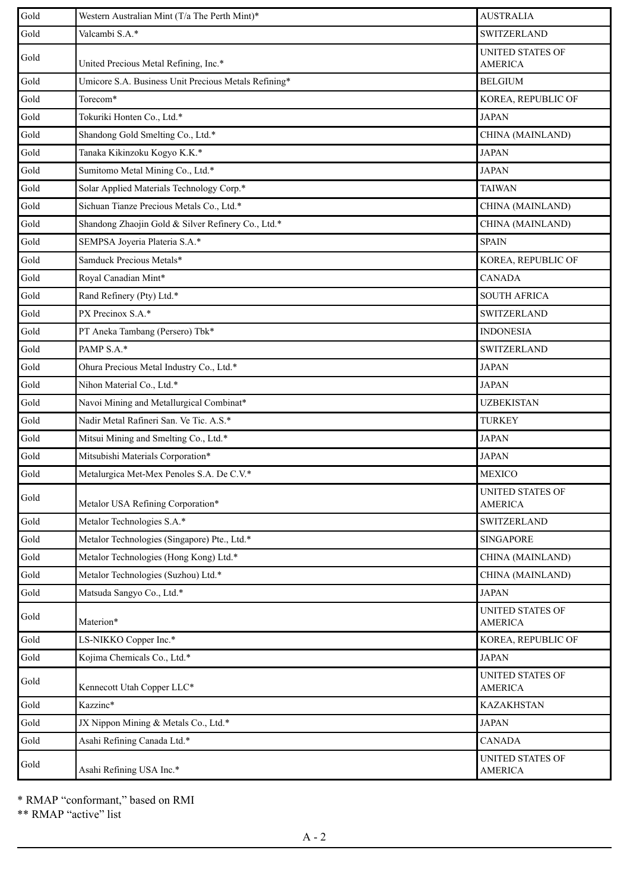| Gold | Western Australian Mint (T/a The Perth Mint)*        | <b>AUSTRALIA</b>                          |
|------|------------------------------------------------------|-------------------------------------------|
| Gold | Valcambi S.A.*                                       | <b>SWITZERLAND</b>                        |
| Gold | United Precious Metal Refining, Inc.*                | <b>UNITED STATES OF</b><br><b>AMERICA</b> |
| Gold | Umicore S.A. Business Unit Precious Metals Refining* | <b>BELGIUM</b>                            |
| Gold | Torecom*                                             | KOREA, REPUBLIC OF                        |
| Gold | Tokuriki Honten Co., Ltd.*                           | <b>JAPAN</b>                              |
| Gold | Shandong Gold Smelting Co., Ltd.*                    | CHINA (MAINLAND)                          |
| Gold | Tanaka Kikinzoku Kogyo K.K.*                         | <b>JAPAN</b>                              |
| Gold | Sumitomo Metal Mining Co., Ltd.*                     | <b>JAPAN</b>                              |
| Gold | Solar Applied Materials Technology Corp.*            | <b>TAIWAN</b>                             |
| Gold | Sichuan Tianze Precious Metals Co., Ltd.*            | CHINA (MAINLAND)                          |
| Gold | Shandong Zhaojin Gold & Silver Refinery Co., Ltd.*   | CHINA (MAINLAND)                          |
| Gold | SEMPSA Joyeria Plateria S.A.*                        | <b>SPAIN</b>                              |
| Gold | Samduck Precious Metals*                             | KOREA, REPUBLIC OF                        |
| Gold | Royal Canadian Mint*                                 | <b>CANADA</b>                             |
| Gold | Rand Refinery (Pty) Ltd.*                            | <b>SOUTH AFRICA</b>                       |
| Gold | PX Precinox S.A.*                                    | <b>SWITZERLAND</b>                        |
| Gold | PT Aneka Tambang (Persero) Tbk*                      | <b>INDONESIA</b>                          |
| Gold | PAMP S.A.*                                           | <b>SWITZERLAND</b>                        |
| Gold | Ohura Precious Metal Industry Co., Ltd.*             | <b>JAPAN</b>                              |
| Gold | Nihon Material Co., Ltd.*                            | <b>JAPAN</b>                              |
| Gold | Navoi Mining and Metallurgical Combinat*             | <b>UZBEKISTAN</b>                         |
| Gold | Nadir Metal Rafineri San. Ve Tic. A.S.*              | <b>TURKEY</b>                             |
| Gold | Mitsui Mining and Smelting Co., Ltd.*                | <b>JAPAN</b>                              |
| Gold | Mitsubishi Materials Corporation*                    | <b>JAPAN</b>                              |
| Gold | Metalurgica Met-Mex Penoles S.A. De C.V.*            | <b>MEXICO</b>                             |
| Gold | Metalor USA Refining Corporation*                    | <b>UNITED STATES OF</b><br><b>AMERICA</b> |
| Gold | Metalor Technologies S.A.*                           | <b>SWITZERLAND</b>                        |
| Gold | Metalor Technologies (Singapore) Pte., Ltd.*         | <b>SINGAPORE</b>                          |
| Gold | Metalor Technologies (Hong Kong) Ltd.*               | CHINA (MAINLAND)                          |
| Gold | Metalor Technologies (Suzhou) Ltd.*                  | CHINA (MAINLAND)                          |
| Gold | Matsuda Sangyo Co., Ltd.*                            | <b>JAPAN</b>                              |
| Gold | Materion*                                            | <b>UNITED STATES OF</b><br><b>AMERICA</b> |
| Gold | LS-NIKKO Copper Inc.*                                | KOREA, REPUBLIC OF                        |
| Gold | Kojima Chemicals Co., Ltd.*                          | <b>JAPAN</b>                              |
| Gold | Kennecott Utah Copper LLC*                           | <b>UNITED STATES OF</b><br><b>AMERICA</b> |
| Gold | Kazzinc*                                             | <b>KAZAKHSTAN</b>                         |
| Gold | JX Nippon Mining & Metals Co., Ltd.*                 | <b>JAPAN</b>                              |
| Gold | Asahi Refining Canada Ltd.*                          | <b>CANADA</b>                             |
| Gold | Asahi Refining USA Inc.*                             | UNITED STATES OF<br><b>AMERICA</b>        |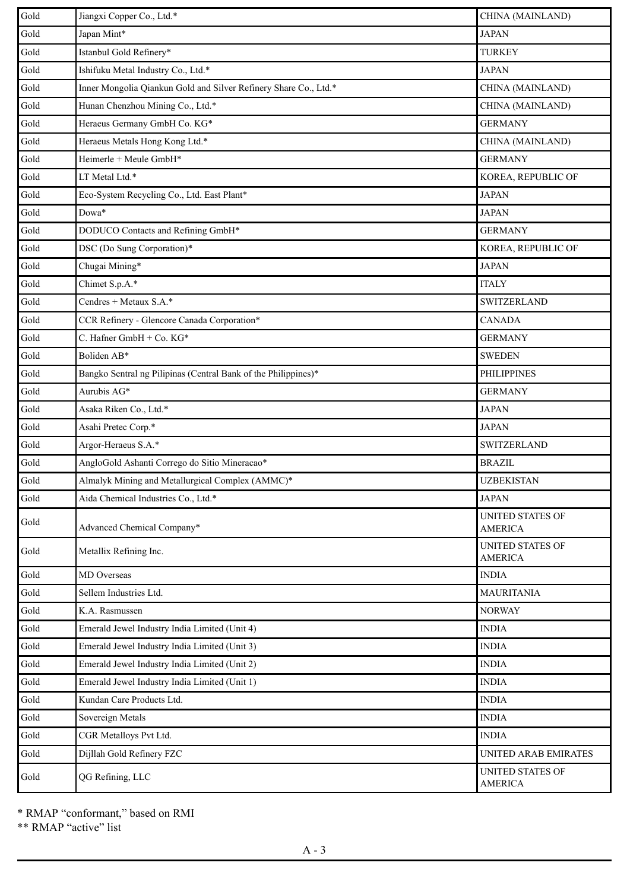| Gold | Jiangxi Copper Co., Ltd.*                                        | CHINA (MAINLAND)                          |
|------|------------------------------------------------------------------|-------------------------------------------|
| Gold | Japan Mint*                                                      | <b>JAPAN</b>                              |
| Gold | Istanbul Gold Refinery*                                          | <b>TURKEY</b>                             |
| Gold | Ishifuku Metal Industry Co., Ltd.*                               | <b>JAPAN</b>                              |
| Gold | Inner Mongolia Qiankun Gold and Silver Refinery Share Co., Ltd.* | CHINA (MAINLAND)                          |
| Gold | Hunan Chenzhou Mining Co., Ltd.*                                 | CHINA (MAINLAND)                          |
| Gold | Heraeus Germany GmbH Co. KG*                                     | <b>GERMANY</b>                            |
| Gold | Heraeus Metals Hong Kong Ltd.*                                   | CHINA (MAINLAND)                          |
| Gold | Heimerle + Meule GmbH*                                           | <b>GERMANY</b>                            |
| Gold | LT Metal Ltd.*                                                   | KOREA, REPUBLIC OF                        |
| Gold | Eco-System Recycling Co., Ltd. East Plant*                       | <b>JAPAN</b>                              |
| Gold | Dowa*                                                            | <b>JAPAN</b>                              |
| Gold | DODUCO Contacts and Refining GmbH*                               | <b>GERMANY</b>                            |
| Gold | DSC (Do Sung Corporation)*                                       | KOREA, REPUBLIC OF                        |
| Gold | Chugai Mining*                                                   | <b>JAPAN</b>                              |
| Gold | Chimet S.p.A.*                                                   | <b>ITALY</b>                              |
| Gold | Cendres + Metaux S.A.*                                           | <b>SWITZERLAND</b>                        |
| Gold | CCR Refinery - Glencore Canada Corporation*                      | <b>CANADA</b>                             |
| Gold | C. Hafner GmbH + Co. KG*                                         | <b>GERMANY</b>                            |
| Gold | Boliden AB*                                                      | <b>SWEDEN</b>                             |
| Gold | Bangko Sentral ng Pilipinas (Central Bank of the Philippines)*   | <b>PHILIPPINES</b>                        |
| Gold | Aurubis AG*                                                      | <b>GERMANY</b>                            |
| Gold | Asaka Riken Co., Ltd.*                                           | <b>JAPAN</b>                              |
| Gold | Asahi Pretec Corp.*                                              | <b>JAPAN</b>                              |
| Gold | Argor-Heraeus S.A.*                                              | <b>SWITZERLAND</b>                        |
| Gold | AngloGold Ashanti Corrego do Sitio Mineracao*                    | <b>BRAZIL</b>                             |
| Gold | Almalyk Mining and Metallurgical Complex (AMMC)*                 | <b>UZBEKISTAN</b>                         |
| Gold | Aida Chemical Industries Co., Ltd.*                              | <b>JAPAN</b>                              |
| Gold | Advanced Chemical Company*                                       | UNITED STATES OF<br><b>AMERICA</b>        |
| Gold | Metallix Refining Inc.                                           | <b>UNITED STATES OF</b><br><b>AMERICA</b> |
| Gold | MD Overseas                                                      | <b>INDIA</b>                              |
| Gold | Sellem Industries Ltd.                                           | <b>MAURITANIA</b>                         |
| Gold | K.A. Rasmussen                                                   | <b>NORWAY</b>                             |
| Gold | Emerald Jewel Industry India Limited (Unit 4)                    | <b>INDIA</b>                              |
| Gold | Emerald Jewel Industry India Limited (Unit 3)                    | <b>INDIA</b>                              |
| Gold | Emerald Jewel Industry India Limited (Unit 2)                    | <b>INDIA</b>                              |
| Gold | Emerald Jewel Industry India Limited (Unit 1)                    | <b>INDIA</b>                              |
| Gold | Kundan Care Products Ltd.                                        | <b>INDIA</b>                              |
| Gold | Sovereign Metals                                                 | <b>INDIA</b>                              |
| Gold | CGR Metalloys Pvt Ltd.                                           | <b>INDIA</b>                              |
| Gold | Dijllah Gold Refinery FZC                                        | UNITED ARAB EMIRATES                      |
| Gold | QG Refining, LLC                                                 | UNITED STATES OF<br><b>AMERICA</b>        |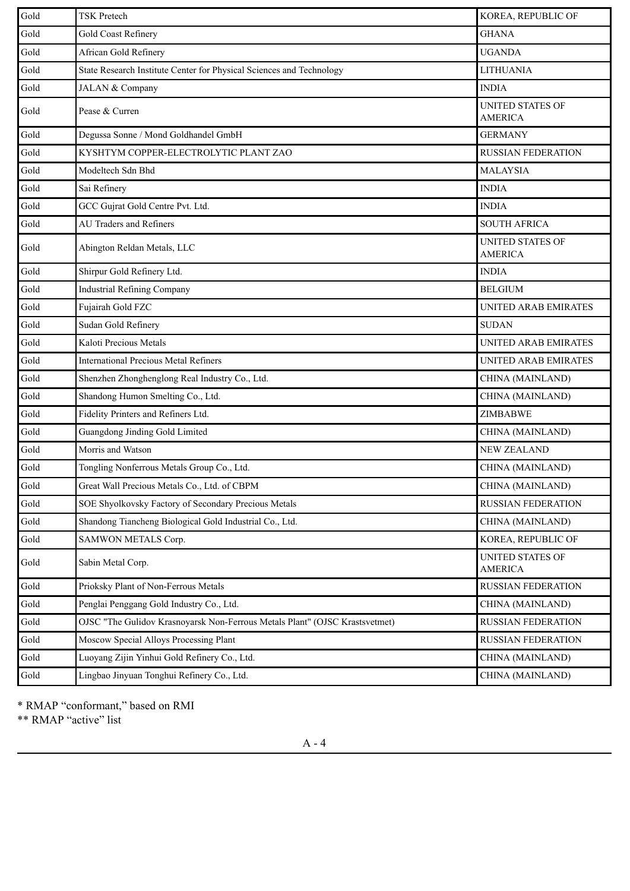| Gold | <b>TSK Pretech</b>                                                          | KOREA, REPUBLIC OF                        |
|------|-----------------------------------------------------------------------------|-------------------------------------------|
| Gold | Gold Coast Refinery                                                         | <b>GHANA</b>                              |
| Gold | African Gold Refinery                                                       | <b>UGANDA</b>                             |
| Gold | State Research Institute Center for Physical Sciences and Technology        | <b>LITHUANIA</b>                          |
| Gold | JALAN & Company                                                             | <b>INDIA</b>                              |
| Gold | Pease & Curren                                                              | <b>UNITED STATES OF</b><br><b>AMERICA</b> |
| Gold | Degussa Sonne / Mond Goldhandel GmbH                                        | <b>GERMANY</b>                            |
| Gold | KYSHTYM COPPER-ELECTROLYTIC PLANT ZAO                                       | <b>RUSSIAN FEDERATION</b>                 |
| Gold | Modeltech Sdn Bhd                                                           | <b>MALAYSIA</b>                           |
| Gold | Sai Refinery                                                                | <b>INDIA</b>                              |
| Gold | GCC Gujrat Gold Centre Pvt. Ltd.                                            | <b>INDIA</b>                              |
| Gold | <b>AU Traders and Refiners</b>                                              | <b>SOUTH AFRICA</b>                       |
| Gold | Abington Reldan Metals, LLC                                                 | UNITED STATES OF<br><b>AMERICA</b>        |
| Gold | Shirpur Gold Refinery Ltd.                                                  | <b>INDIA</b>                              |
| Gold | <b>Industrial Refining Company</b>                                          | <b>BELGIUM</b>                            |
| Gold | Fujairah Gold FZC                                                           | <b>UNITED ARAB EMIRATES</b>               |
| Gold | Sudan Gold Refinery                                                         | <b>SUDAN</b>                              |
| Gold | Kaloti Precious Metals                                                      | <b>UNITED ARAB EMIRATES</b>               |
| Gold | <b>International Precious Metal Refiners</b>                                | <b>UNITED ARAB EMIRATES</b>               |
| Gold | Shenzhen Zhonghenglong Real Industry Co., Ltd.                              | CHINA (MAINLAND)                          |
| Gold | Shandong Humon Smelting Co., Ltd.                                           | CHINA (MAINLAND)                          |
| Gold | Fidelity Printers and Refiners Ltd.                                         | <b>ZIMBABWE</b>                           |
| Gold | Guangdong Jinding Gold Limited                                              | CHINA (MAINLAND)                          |
| Gold | Morris and Watson                                                           | <b>NEW ZEALAND</b>                        |
| Gold | Tongling Nonferrous Metals Group Co., Ltd.                                  | CHINA (MAINLAND)                          |
| Gold | Great Wall Precious Metals Co., Ltd. of CBPM                                | CHINA (MAINLAND)                          |
| Gold | SOE Shyolkovsky Factory of Secondary Precious Metals                        | RUSSIAN FEDERATION                        |
| Gold | Shandong Tiancheng Biological Gold Industrial Co., Ltd.                     | CHINA (MAINLAND)                          |
| Gold | SAMWON METALS Corp.                                                         | KOREA, REPUBLIC OF                        |
| Gold | Sabin Metal Corp.                                                           | <b>UNITED STATES OF</b><br><b>AMERICA</b> |
| Gold | Prioksky Plant of Non-Ferrous Metals                                        | RUSSIAN FEDERATION                        |
| Gold | Penglai Penggang Gold Industry Co., Ltd.                                    | CHINA (MAINLAND)                          |
| Gold | OJSC "The Gulidov Krasnoyarsk Non-Ferrous Metals Plant" (OJSC Krastsvetmet) | RUSSIAN FEDERATION                        |
| Gold | Moscow Special Alloys Processing Plant                                      | RUSSIAN FEDERATION                        |
| Gold | Luoyang Zijin Yinhui Gold Refinery Co., Ltd.                                | CHINA (MAINLAND)                          |
| Gold | Lingbao Jinyuan Tonghui Refinery Co., Ltd.                                  | CHINA (MAINLAND)                          |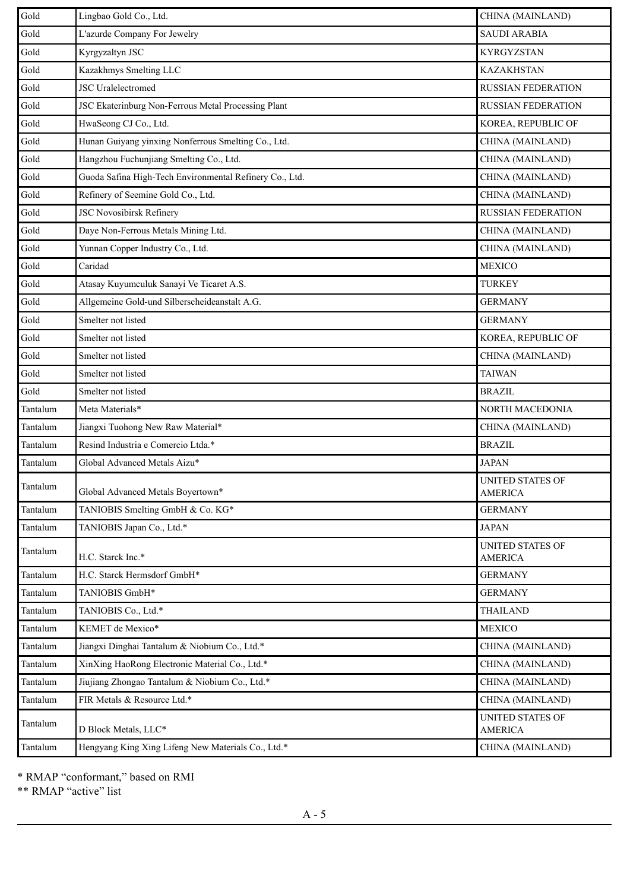| Gold     | Lingbao Gold Co., Ltd.                                  | CHINA (MAINLAND)                          |
|----------|---------------------------------------------------------|-------------------------------------------|
| Gold     | L'azurde Company For Jewelry                            | <b>SAUDI ARABIA</b>                       |
| Gold     | Kyrgyzaltyn JSC                                         | <b>KYRGYZSTAN</b>                         |
| Gold     | Kazakhmys Smelting LLC                                  | <b>KAZAKHSTAN</b>                         |
| Gold     | <b>JSC</b> Uralelectromed                               | <b>RUSSIAN FEDERATION</b>                 |
| Gold     | JSC Ekaterinburg Non-Ferrous Metal Processing Plant     | <b>RUSSIAN FEDERATION</b>                 |
| Gold     | HwaSeong CJ Co., Ltd.                                   | KOREA, REPUBLIC OF                        |
| Gold     | Hunan Guiyang yinxing Nonferrous Smelting Co., Ltd.     | CHINA (MAINLAND)                          |
| Gold     | Hangzhou Fuchunjiang Smelting Co., Ltd.                 | CHINA (MAINLAND)                          |
| Gold     | Guoda Safina High-Tech Environmental Refinery Co., Ltd. | CHINA (MAINLAND)                          |
| Gold     | Refinery of Seemine Gold Co., Ltd.                      | CHINA (MAINLAND)                          |
| Gold     | <b>JSC Novosibirsk Refinery</b>                         | <b>RUSSIAN FEDERATION</b>                 |
| Gold     | Daye Non-Ferrous Metals Mining Ltd.                     | CHINA (MAINLAND)                          |
| Gold     | Yunnan Copper Industry Co., Ltd.                        | CHINA (MAINLAND)                          |
| Gold     | Caridad                                                 | <b>MEXICO</b>                             |
| Gold     | Atasay Kuyumculuk Sanayi Ve Ticaret A.S.                | <b>TURKEY</b>                             |
| Gold     | Allgemeine Gold-und Silberscheideanstalt A.G.           | <b>GERMANY</b>                            |
| Gold     | Smelter not listed                                      | <b>GERMANY</b>                            |
| Gold     | Smelter not listed                                      | KOREA, REPUBLIC OF                        |
| Gold     | Smelter not listed                                      | CHINA (MAINLAND)                          |
| Gold     | Smelter not listed                                      | <b>TAIWAN</b>                             |
| Gold     | Smelter not listed                                      | <b>BRAZIL</b>                             |
| Tantalum | Meta Materials*                                         | NORTH MACEDONIA                           |
| Tantalum | Jiangxi Tuohong New Raw Material*                       | CHINA (MAINLAND)                          |
| Tantalum | Resind Industria e Comercio Ltda.*                      | <b>BRAZIL</b>                             |
| Tantalum | Global Advanced Metals Aizu*                            | <b>JAPAN</b>                              |
| Tantalum | Global Advanced Metals Boyertown*                       | <b>UNITED STATES OF</b><br><b>AMERICA</b> |
| Tantalum | TANIOBIS Smelting GmbH & Co. KG*                        | <b>GERMANY</b>                            |
| Tantalum | TANIOBIS Japan Co., Ltd.*                               | <b>JAPAN</b>                              |
| Tantalum | H.C. Starck Inc.*                                       | <b>UNITED STATES OF</b><br><b>AMERICA</b> |
| Tantalum | H.C. Starck Hermsdorf GmbH*                             | <b>GERMANY</b>                            |
| Tantalum | TANIOBIS GmbH*                                          | <b>GERMANY</b>                            |
| Tantalum | TANIOBIS Co., Ltd.*                                     | <b>THAILAND</b>                           |
| Tantalum | KEMET de Mexico*                                        | <b>MEXICO</b>                             |
| Tantalum | Jiangxi Dinghai Tantalum & Niobium Co., Ltd.*           | CHINA (MAINLAND)                          |
| Tantalum | XinXing HaoRong Electronic Material Co., Ltd.*          | CHINA (MAINLAND)                          |
| Tantalum | Jiujiang Zhongao Tantalum & Niobium Co., Ltd.*          | CHINA (MAINLAND)                          |
| Tantalum | FIR Metals & Resource Ltd.*                             | CHINA (MAINLAND)                          |
| Tantalum | D Block Metals, LLC*                                    | UNITED STATES OF<br><b>AMERICA</b>        |
| Tantalum | Hengyang King Xing Lifeng New Materials Co., Ltd.*      | CHINA (MAINLAND)                          |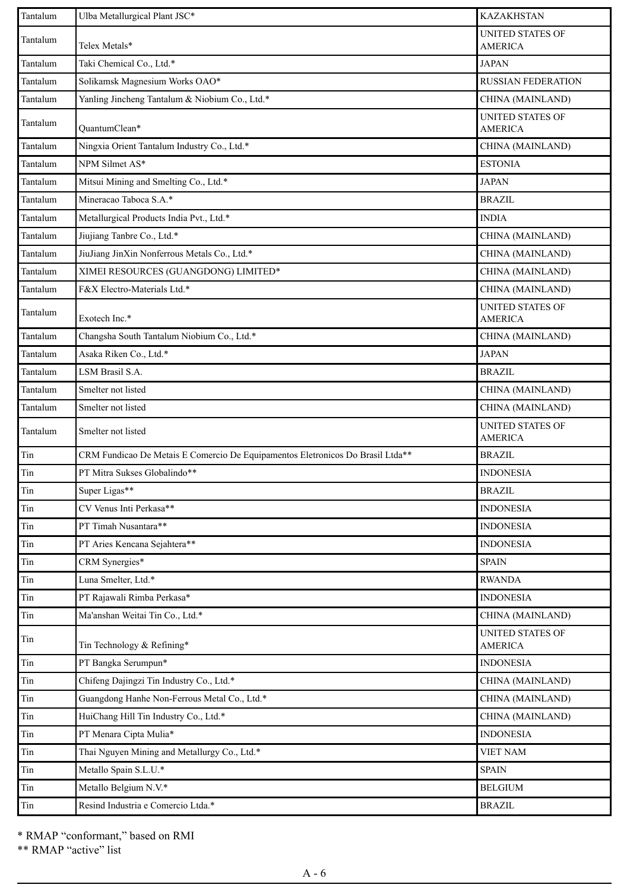| Tantalum | Ulba Metallurgical Plant JSC*                                                  | <b>KAZAKHSTAN</b>                         |
|----------|--------------------------------------------------------------------------------|-------------------------------------------|
| Tantalum | Telex Metals*                                                                  | <b>UNITED STATES OF</b><br><b>AMERICA</b> |
| Tantalum | Taki Chemical Co., Ltd.*                                                       | <b>JAPAN</b>                              |
| Tantalum | Solikamsk Magnesium Works OAO*                                                 | <b>RUSSIAN FEDERATION</b>                 |
| Tantalum | Yanling Jincheng Tantalum & Niobium Co., Ltd.*                                 | CHINA (MAINLAND)                          |
| Tantalum | QuantumClean*                                                                  | <b>UNITED STATES OF</b><br><b>AMERICA</b> |
| Tantalum | Ningxia Orient Tantalum Industry Co., Ltd.*                                    | CHINA (MAINLAND)                          |
| Tantalum | NPM Silmet AS*                                                                 | <b>ESTONIA</b>                            |
| Tantalum | Mitsui Mining and Smelting Co., Ltd.*                                          | <b>JAPAN</b>                              |
| Tantalum | Mineracao Taboca S.A.*                                                         | <b>BRAZIL</b>                             |
| Tantalum | Metallurgical Products India Pvt., Ltd.*                                       | <b>INDIA</b>                              |
| Tantalum | Jiujiang Tanbre Co., Ltd.*                                                     | CHINA (MAINLAND)                          |
| Tantalum | JiuJiang JinXin Nonferrous Metals Co., Ltd.*                                   | CHINA (MAINLAND)                          |
| Tantalum | XIMEI RESOURCES (GUANGDONG) LIMITED*                                           | CHINA (MAINLAND)                          |
| Tantalum | F&X Electro-Materials Ltd.*                                                    | CHINA (MAINLAND)                          |
| Tantalum | Exotech Inc.*                                                                  | <b>UNITED STATES OF</b><br><b>AMERICA</b> |
| Tantalum | Changsha South Tantalum Niobium Co., Ltd.*                                     | CHINA (MAINLAND)                          |
| Tantalum | Asaka Riken Co., Ltd.*                                                         | <b>JAPAN</b>                              |
| Tantalum | LSM Brasil S.A.                                                                | <b>BRAZIL</b>                             |
| Tantalum | Smelter not listed                                                             | CHINA (MAINLAND)                          |
| Tantalum | Smelter not listed                                                             | CHINA (MAINLAND)                          |
| Tantalum | Smelter not listed                                                             | <b>UNITED STATES OF</b><br><b>AMERICA</b> |
| Tin      | CRM Fundicao De Metais E Comercio De Equipamentos Eletronicos Do Brasil Ltda** | <b>BRAZIL</b>                             |
| Tin      | PT Mitra Sukses Globalindo**                                                   | <b>INDONESIA</b>                          |
| Tin      | Super Ligas**                                                                  | <b>BRAZIL</b>                             |
| Tin      | CV Venus Inti Perkasa**                                                        | <b>INDONESIA</b>                          |
| Tin      | PT Timah Nusantara**                                                           | <b>INDONESIA</b>                          |
| Tin      | PT Aries Kencana Sejahtera**                                                   | <b>INDONESIA</b>                          |
| Tin      | CRM Synergies*                                                                 | <b>SPAIN</b>                              |
| Tin      | Luna Smelter, Ltd.*                                                            | <b>RWANDA</b>                             |
| Tin      | PT Rajawali Rimba Perkasa*                                                     | <b>INDONESIA</b>                          |
| Tin      | Ma'anshan Weitai Tin Co., Ltd.*                                                | CHINA (MAINLAND)                          |
| Tin      | Tin Technology & Refining*                                                     | <b>UNITED STATES OF</b><br><b>AMERICA</b> |
| Tin      | PT Bangka Serumpun*                                                            | <b>INDONESIA</b>                          |
| Tin      | Chifeng Dajingzi Tin Industry Co., Ltd.*                                       | CHINA (MAINLAND)                          |
| Tin      | Guangdong Hanhe Non-Ferrous Metal Co., Ltd.*                                   | CHINA (MAINLAND)                          |
| Tin      | HuiChang Hill Tin Industry Co., Ltd.*                                          | CHINA (MAINLAND)                          |
| Tin      | PT Menara Cipta Mulia*                                                         | <b>INDONESIA</b>                          |
| Tin      | Thai Nguyen Mining and Metallurgy Co., Ltd.*                                   | <b>VIET NAM</b>                           |
| Tin      | Metallo Spain S.L.U.*                                                          | <b>SPAIN</b>                              |
| Tin      | Metallo Belgium N.V.*                                                          | <b>BELGIUM</b>                            |
| Tin      | Resind Industria e Comercio Ltda.*                                             | <b>BRAZIL</b>                             |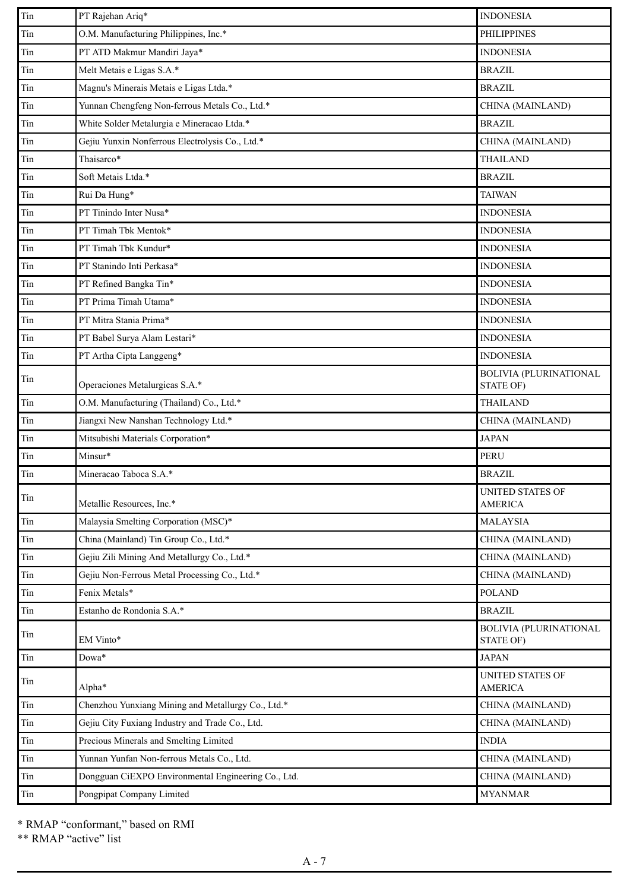| Tin | PT Rajehan Ariq*                                    | <b>INDONESIA</b>                           |
|-----|-----------------------------------------------------|--------------------------------------------|
| Tin | O.M. Manufacturing Philippines, Inc.*               | <b>PHILIPPINES</b>                         |
| Tin | PT ATD Makmur Mandiri Jaya*                         | <b>INDONESIA</b>                           |
| Tin | Melt Metais e Ligas S.A.*                           | <b>BRAZIL</b>                              |
| Tin | Magnu's Minerais Metais e Ligas Ltda.*              | <b>BRAZIL</b>                              |
| Tin | Yunnan Chengfeng Non-ferrous Metals Co., Ltd.*      | CHINA (MAINLAND)                           |
| Tin | White Solder Metalurgia e Mineracao Ltda.*          | <b>BRAZIL</b>                              |
| Tin | Gejiu Yunxin Nonferrous Electrolysis Co., Ltd.*     | CHINA (MAINLAND)                           |
| Tin | Thaisarco*                                          | <b>THAILAND</b>                            |
| Tin | Soft Metais Ltda.*                                  | <b>BRAZIL</b>                              |
| Tin | Rui Da Hung*                                        | <b>TAIWAN</b>                              |
| Tin | PT Tinindo Inter Nusa*                              | <b>INDONESIA</b>                           |
| Tin | PT Timah Tbk Mentok*                                | <b>INDONESIA</b>                           |
| Tin | PT Timah Tbk Kundur*                                | <b>INDONESIA</b>                           |
| Tin | PT Stanindo Inti Perkasa*                           | <b>INDONESIA</b>                           |
| Tin | PT Refined Bangka Tin*                              | <b>INDONESIA</b>                           |
| Tin | PT Prima Timah Utama*                               | <b>INDONESIA</b>                           |
| Tin | PT Mitra Stania Prima*                              | <b>INDONESIA</b>                           |
| Tin | PT Babel Surya Alam Lestari*                        | <b>INDONESIA</b>                           |
| Tin | PT Artha Cipta Langgeng*                            | <b>INDONESIA</b>                           |
| Tin | Operaciones Metalurgicas S.A.*                      | <b>BOLIVIA (PLURINATIONAL</b><br>STATE OF) |
| Tin | O.M. Manufacturing (Thailand) Co., Ltd.*            | <b>THAILAND</b>                            |
| Tin | Jiangxi New Nanshan Technology Ltd.*                | CHINA (MAINLAND)                           |
| Tin | Mitsubishi Materials Corporation*                   | <b>JAPAN</b>                               |
| Tin | Minsur*                                             | <b>PERU</b>                                |
| Tin | Mineracao Taboca S.A.*                              | <b>BRAZIL</b>                              |
| Tin | Metallic Resources, Inc.*                           | <b>UNITED STATES OF</b><br><b>AMERICA</b>  |
| Tin | Malaysia Smelting Corporation (MSC)*                | <b>MALAYSIA</b>                            |
| Tin | China (Mainland) Tin Group Co., Ltd.*               | CHINA (MAINLAND)                           |
| Tin | Gejiu Zili Mining And Metallurgy Co., Ltd.*         | CHINA (MAINLAND)                           |
| Tin | Gejiu Non-Ferrous Metal Processing Co., Ltd.*       | CHINA (MAINLAND)                           |
| Tin | Fenix Metals*                                       | <b>POLAND</b>                              |
| Tin | Estanho de Rondonia S.A.*                           | <b>BRAZIL</b>                              |
| Tin | EM Vinto*                                           | <b>BOLIVIA (PLURINATIONAL</b><br>STATE OF) |
| Tin | Dowa*                                               | <b>JAPAN</b>                               |
| Tin | Alpha*                                              | <b>UNITED STATES OF</b><br><b>AMERICA</b>  |
| Tin | Chenzhou Yunxiang Mining and Metallurgy Co., Ltd.*  | CHINA (MAINLAND)                           |
| Tin | Gejiu City Fuxiang Industry and Trade Co., Ltd.     | CHINA (MAINLAND)                           |
| Tin | Precious Minerals and Smelting Limited              | <b>INDIA</b>                               |
| Tin | Yunnan Yunfan Non-ferrous Metals Co., Ltd.          | CHINA (MAINLAND)                           |
| Tin | Dongguan CiEXPO Environmental Engineering Co., Ltd. | CHINA (MAINLAND)                           |
| Tin | Pongpipat Company Limited                           | <b>MYANMAR</b>                             |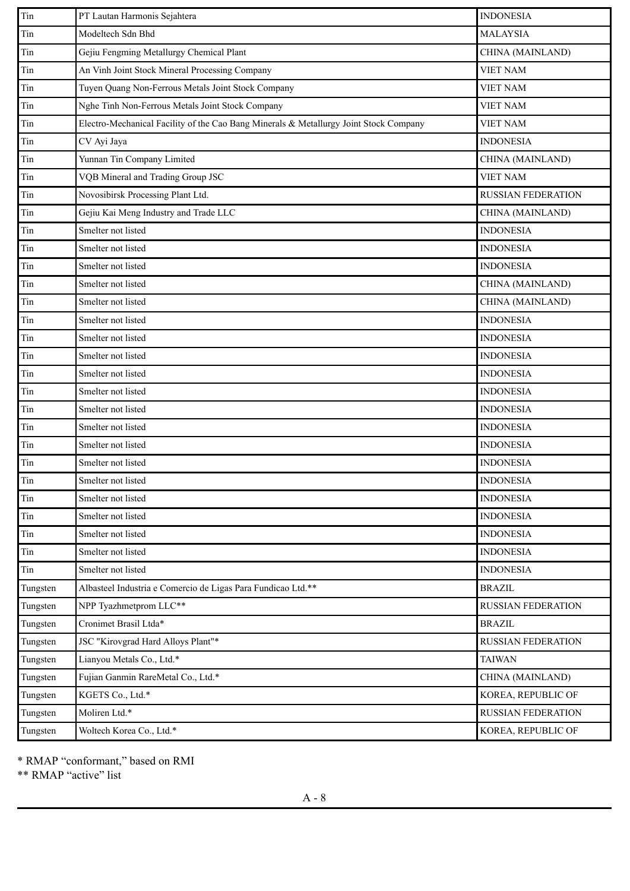| Tin      | PT Lautan Harmonis Sejahtera                                                          | <b>INDONESIA</b>          |
|----------|---------------------------------------------------------------------------------------|---------------------------|
| Tin      | Modeltech Sdn Bhd                                                                     | <b>MALAYSIA</b>           |
| Tin      | Gejiu Fengming Metallurgy Chemical Plant                                              | CHINA (MAINLAND)          |
| Tin      | An Vinh Joint Stock Mineral Processing Company                                        | <b>VIET NAM</b>           |
| Tin      | Tuyen Quang Non-Ferrous Metals Joint Stock Company                                    | <b>VIET NAM</b>           |
| Tin      | Nghe Tinh Non-Ferrous Metals Joint Stock Company                                      | <b>VIET NAM</b>           |
| Tin      | Electro-Mechanical Facility of the Cao Bang Minerals & Metallurgy Joint Stock Company | <b>VIET NAM</b>           |
| Tin      | CV Ayi Jaya                                                                           | <b>INDONESIA</b>          |
| Tin      | Yunnan Tin Company Limited                                                            | CHINA (MAINLAND)          |
| Tin      | VQB Mineral and Trading Group JSC                                                     | <b>VIET NAM</b>           |
| Tin      | Novosibirsk Processing Plant Ltd.                                                     | RUSSIAN FEDERATION        |
| Tin      | Gejiu Kai Meng Industry and Trade LLC                                                 | CHINA (MAINLAND)          |
| Tin      | Smelter not listed                                                                    | <b>INDONESIA</b>          |
| Tin      | Smelter not listed                                                                    | <b>INDONESIA</b>          |
| Tin      | Smelter not listed                                                                    | <b>INDONESIA</b>          |
| Tin      | Smelter not listed                                                                    | CHINA (MAINLAND)          |
| $\rm{T}$ | Smelter not listed                                                                    | CHINA (MAINLAND)          |
| Tin      | Smelter not listed                                                                    | <b>INDONESIA</b>          |
| Tin      | Smelter not listed                                                                    | <b>INDONESIA</b>          |
| Tin      | Smelter not listed                                                                    | <b>INDONESIA</b>          |
| $\rm{T}$ | Smelter not listed                                                                    | <b>INDONESIA</b>          |
| Tin      | Smelter not listed                                                                    | <b>INDONESIA</b>          |
| Tin      | Smelter not listed                                                                    | <b>INDONESIA</b>          |
| Tin      | Smelter not listed                                                                    | <b>INDONESIA</b>          |
| Tin      | Smelter not listed                                                                    | <b>INDONESIA</b>          |
| Tin      | Smelter not listed                                                                    | <b>INDONESIA</b>          |
| Tin      | Smelter not listed                                                                    | <b>INDONESIA</b>          |
| Tin      | Smelter not listed                                                                    | <b>INDONESIA</b>          |
| Tin      | Smelter not listed                                                                    | <b>INDONESIA</b>          |
| Tin      | Smelter not listed                                                                    | <b>INDONESIA</b>          |
| Tin      | Smelter not listed                                                                    | <b>INDONESIA</b>          |
| Tin      | Smelter not listed                                                                    | <b>INDONESIA</b>          |
| Tungsten | Albasteel Industria e Comercio de Ligas Para Fundicao Ltd.**                          | <b>BRAZIL</b>             |
| Tungsten | NPP Tyazhmetprom LLC**                                                                | RUSSIAN FEDERATION        |
| Tungsten | Cronimet Brasil Ltda*                                                                 | <b>BRAZIL</b>             |
| Tungsten | JSC "Kirovgrad Hard Alloys Plant"*                                                    | RUSSIAN FEDERATION        |
| Tungsten | Lianyou Metals Co., Ltd.*                                                             | <b>TAIWAN</b>             |
| Tungsten | Fujian Ganmin RareMetal Co., Ltd.*                                                    | CHINA (MAINLAND)          |
| Tungsten | KGETS Co., Ltd.*                                                                      | KOREA, REPUBLIC OF        |
| Tungsten | Moliren Ltd.*                                                                         | <b>RUSSIAN FEDERATION</b> |
| Tungsten | Woltech Korea Co., Ltd.*                                                              | KOREA, REPUBLIC OF        |